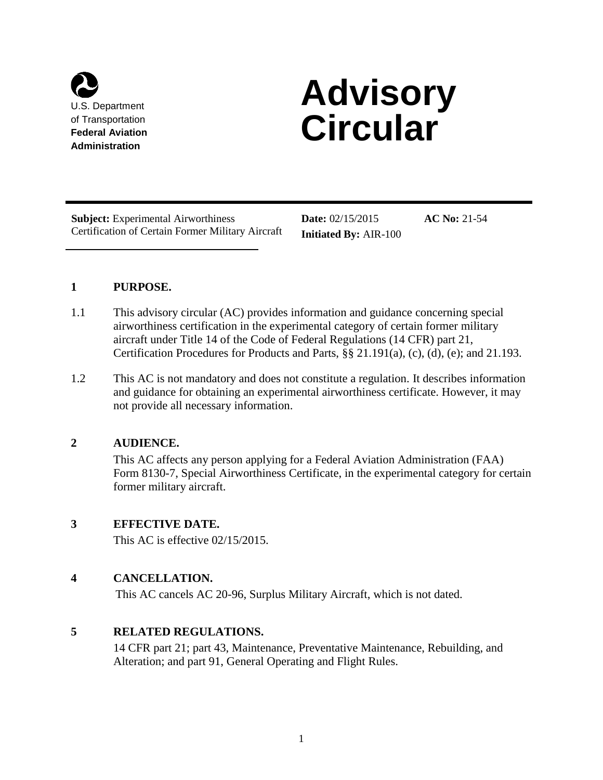

# **U.S. Department 6 Advisory** of Transportation **Circular**

**Subject:** Experimental Airworthiness **Date:**  $02/15/2015$  **AC No:** 21-54 Certification of Certain Former Military Aircraft **Initiated By:** AIR-100

# **1 PURPOSE.**

- 1.1 This advisory circular (AC) provides information and guidance concerning special aircraft under Title 14 of the Code of Federal Regulations (14 CFR) part 21, airworthiness certification in the experimental category of certain former military Certification Procedures for Products and Parts, §§ 21.191(a), (c), (d), (e); and 21.193.
- and guidance for obtaining an experimental airworthiness certificate. However, it may not provide all necessary information. 1.2 This AC is not mandatory and does not constitute a regulation. It describes information

# **2 AUDIENCE.**

 This AC affects any person applying for a Federal Aviation Administration (FAA) Form 8130-7, Special Airworthiness Certificate, in the experimental category for certain former military aircraft.

# **3 EFFECTIVE DATE.**

This AC is effective 02/15/2015.

# **4 CANCELLATION.**

This AC cancels AC 20-96, Surplus Military Aircraft, which is not dated.

# **5 RELATED REGULATIONS.**

 14 CFR part 21; part 43, Maintenance, Preventative Maintenance, Rebuilding, and Alteration; and part 91, General Operating and Flight Rules.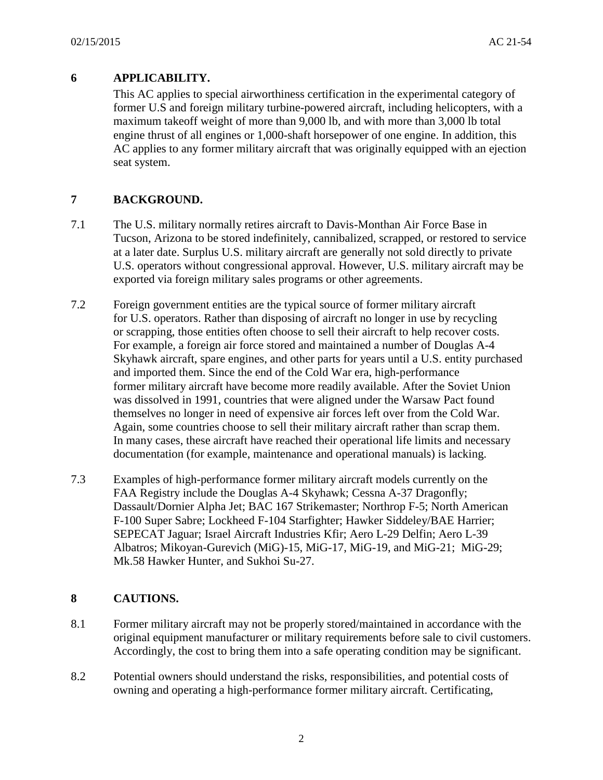# **6 APPLICABILITY.**

 This AC applies to special airworthiness certification in the experimental category of AC applies to any former military aircraft that was originally equipped with an ejection seat system. former U.S and foreign military turbine-powered aircraft, including helicopters, with a maximum takeoff weight of more than 9,000 lb, and with more than 3,000 lb total engine thrust of all engines or 1,000-shaft horsepower of one engine. In addition, this

# **7 BACKGROUND.**

- Tucson, Arizona to be stored indefinitely, cannibalized, scrapped, or restored to service at a later date. Surplus U.S. military aircraft are generally not sold directly to private U.S. operators without congressional approval. However, U.S. military aircraft may be 7.1 The U.S. military normally retires aircraft to Davis-Monthan Air Force Base in exported via foreign military sales programs or other agreements.
- 7.2 Foreign government entities are the typical source of former military aircraft for U.S. operators. Rather than disposing of aircraft no longer in use by recycling Again, some countries choose to sell their military aircraft rather than scrap them. In many cases, these aircraft have reached their operational life limits and necessary or scrapping, those entities often choose to sell their aircraft to help recover costs. For example, a foreign air force stored and maintained a number of Douglas A-4 Skyhawk aircraft, spare engines, and other parts for years until a U.S. entity purchased and imported them. Since the end of the Cold War era, high-performance former military aircraft have become more readily available. After the Soviet Union was dissolved in 1991, countries that were aligned under the Warsaw Pact found themselves no longer in need of expensive air forces left over from the Cold War. documentation (for example, maintenance and operational manuals) is lacking.
- FAA Registry include the Douglas A-4 Skyhawk; Cessna A-37 Dragonfly; Albatros; Mikoyan-Gurevich (MiG)-15, MiG-17, MiG-19, and MiG-21; MiG-29; Mk.58 Hawker Hunter, and Sukhoi Su-27. 7.3 Examples of high-performance former military aircraft models currently on the Dassault/Dornier Alpha Jet; BAC 167 Strikemaster; Northrop F-5; North American F-100 Super Sabre; Lockheed F-104 Starfighter; Hawker Siddeley/BAE Harrier; SEPECAT Jaguar; Israel Aircraft Industries Kfir; Aero L-29 Delfin; Aero L-39

# **8 CAUTIONS.**

- Accordingly, the cost to bring them into a safe operating condition may be significant. 8.1 Former military aircraft may not be properly stored/maintained in accordance with the original equipment manufacturer or military requirements before sale to civil customers.
- 8.2 Potential owners should understand the risks, responsibilities, and potential costs of owning and operating a high-performance former military aircraft. Certificating,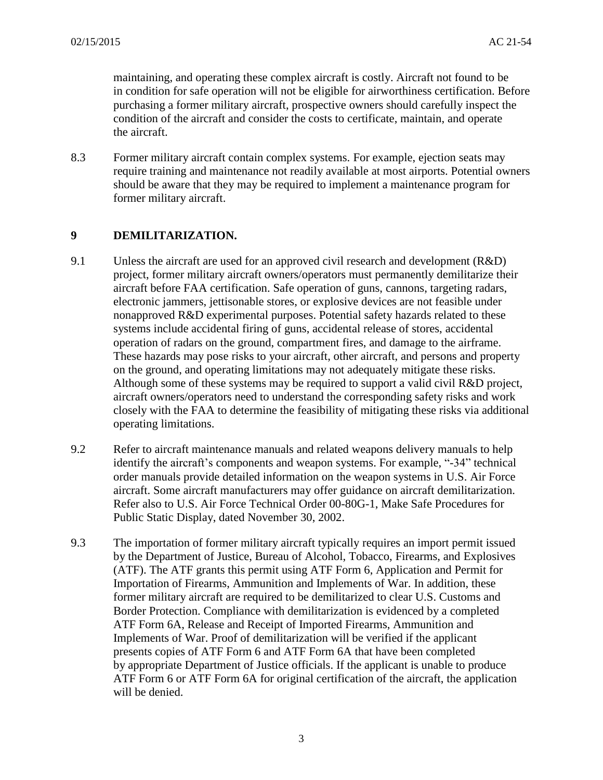maintaining, and operating these complex aircraft is costly. Aircraft not found to be the aircraft. in condition for safe operation will not be eligible for airworthiness certification. Before purchasing a former military aircraft, prospective owners should carefully inspect the condition of the aircraft and consider the costs to certificate, maintain, and operate

 should be aware that they may be required to implement a maintenance program for 8.3 Former military aircraft contain complex systems. For example, ejection seats may require training and maintenance not readily available at most airports. Potential owners former military aircraft.

# **9 DEMILITARIZATION.**

- project, former military aircraft owners/operators must permanently demilitarize their These hazards may pose risks to your aircraft, other aircraft, and persons and property Although some of these systems may be required to support a valid civil R&D project, closely with the FAA to determine the feasibility of mitigating these risks via additional 9.1 Unless the aircraft are used for an approved civil research and development  $(R&D)$ aircraft before FAA certification. Safe operation of guns, cannons, targeting radars, electronic jammers, jettisonable stores, or explosive devices are not feasible under nonapproved R&D experimental purposes. Potential safety hazards related to these systems include accidental firing of guns, accidental release of stores, accidental operation of radars on the ground, compartment fires, and damage to the airframe. on the ground, and operating limitations may not adequately mitigate these risks. aircraft owners/operators need to understand the corresponding safety risks and work operating limitations.
- 9.2 Refer to aircraft maintenance manuals and related weapons delivery manuals to help identify the aircraft's components and weapon systems. For example, "-34" technical order manuals provide detailed information on the weapon systems in U.S. Air Force Refer also to U.S. Air Force Technical Order 00-80G-1, Make Safe Procedures for Public Static Display, dated November 30, 2002. aircraft. Some aircraft manufacturers may offer guidance on aircraft demilitarization.
- 9.3 The importation of former military aircraft typically requires an import permit issued (ATF). The ATF grants this permit using ATF Form 6, Application and Permit for by appropriate Department of Justice officials. If the applicant is unable to produce ATF Form 6 or ATF Form 6A for original certification of the aircraft, the application by the Department of Justice, Bureau of Alcohol, Tobacco, Firearms, and Explosives Importation of Firearms, Ammunition and Implements of War. In addition, these former military aircraft are required to be demilitarized to clear U.S. Customs and Border Protection. Compliance with demilitarization is evidenced by a completed ATF Form 6A, Release and Receipt of Imported Firearms, Ammunition and Implements of War. Proof of demilitarization will be verified if the applicant presents copies of ATF Form 6 and ATF Form 6A that have been completed will be denied.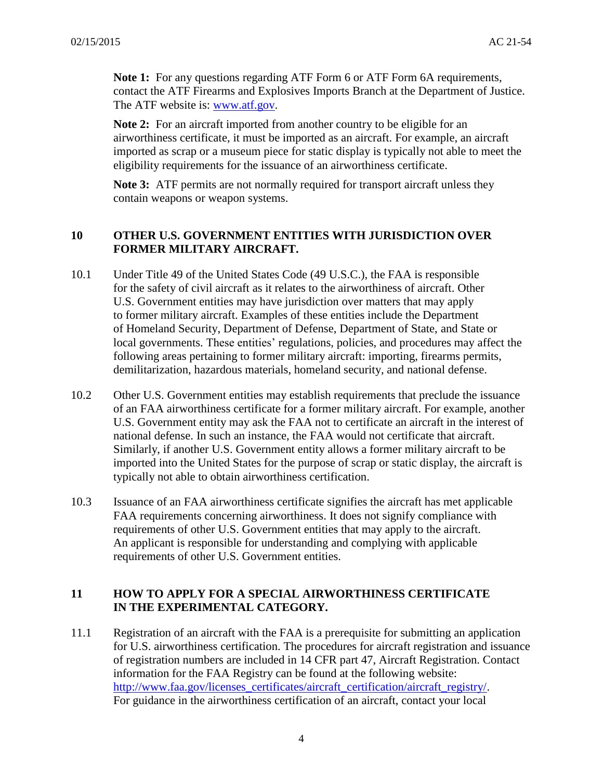The ATF website is: <u>www.atf.gov</u>. **Note 1:** For any questions regarding ATF Form 6 or ATF Form 6A requirements, contact the ATF Firearms and Explosives Imports Branch at the Department of Justice.

 imported as scrap or a museum piece for static display is typically not able to meet the **Note 2:** For an aircraft imported from another country to be eligible for an airworthiness certificate, it must be imported as an aircraft. For example, an aircraft eligibility requirements for the issuance of an airworthiness certificate.

**Note 3:** ATF permits are not normally required for transport aircraft unless they contain weapons or weapon systems.

# **10 OTHER U.S. GOVERNMENT ENTITIES WITH JURISDICTION OVER FORMER MILITARY AIRCRAFT.**

- 10.1 Under Title 49 of the United States Code (49 U.S.C.), the FAA is responsible for the safety of civil aircraft as it relates to the airworthiness of aircraft. Other U.S. Government entities may have jurisdiction over matters that may apply to former military aircraft. Examples of these entities include the Department of Homeland Security, Department of Defense, Department of State, and State or local governments. These entities' regulations, policies, and procedures may affect the following areas pertaining to former military aircraft: importing, firearms permits, demilitarization, hazardous materials, homeland security, and national defense.
- of an FAA airworthiness certificate for a former military aircraft. For example, another U.S. Government entity may ask the FAA not to certificate an aircraft in the interest of Similarly, if another U.S. Government entity allows a former military aircraft to be imported into the United States for the purpose of scrap or static display, the aircraft is 10.2 Other U.S. Government entities may establish requirements that preclude the issuance national defense. In such an instance, the FAA would not certificate that aircraft. typically not able to obtain airworthiness certification.
- An applicant is responsible for understanding and complying with applicable 10.3 Issuance of an FAA airworthiness certificate signifies the aircraft has met applicable FAA requirements concerning airworthiness. It does not signify compliance with requirements of other U.S. Government entities that may apply to the aircraft. requirements of other U.S. Government entities.

# **IN THE EXPERIMENTAL CATEGORY. 11 HOW TO APPLY FOR A SPECIAL AIRWORTHINESS CERTIFICATE**

11.1 Registration of an aircraft with the FAA is a prerequisite for submitting an application of registration numbers are included in 14 CFR part 47, Aircraft Registration. Contact For guidance in the airworthiness certification of an aircraft, contact your local for U.S. airworthiness certification. The procedures for aircraft registration and issuance information for the FAA Registry can be found at the following website: [http://www.faa.gov/licenses\\_certificates/aircraft\\_certification/aircraft\\_registry/.](http://www.faa.gov/licenses_certificates/aircraft_certification/aircraft_registry/)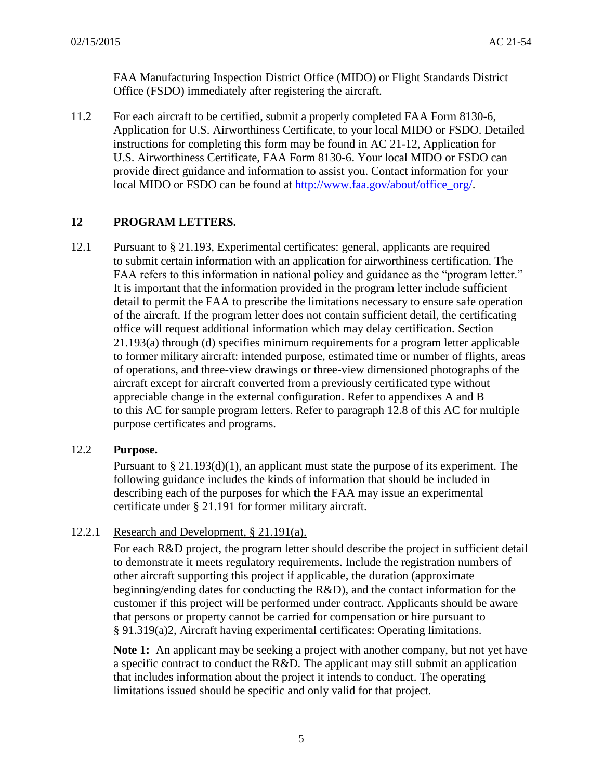Office (FSDO) immediately after registering the aircraft. FAA Manufacturing Inspection District Office (MIDO) or Flight Standards District

 Application for U.S. Airworthiness Certificate, to your local MIDO or FSDO. Detailed instructions for completing this form may be found in AC 21-12, Application for provide direct guidance and information to assist you. Contact information for your 11.2 For each aircraft to be certified, submit a properly completed FAA Form 8130-6, U.S. Airworthiness Certificate, FAA Form 8130-6. Your local MIDO or FSDO can local MIDO or FSDO can be found at [http://www.faa.gov/about/office\\_org/.](http://www.faa.gov/about/office_org/)

# **12 PROGRAM LETTERS.**

12.1 Pursuant to § 21.193, Experimental certificates: general, applicants are required FAA refers to this information in national policy and guidance as the "program letter." office will request additional information which may delay certification. Section 21.193(a) through (d) specifies minimum requirements for a program letter applicable aircraft except for aircraft converted from a previously certificated type without appreciable change in the external configuration. Refer to appendixes A and B to this AC for sample program letters. Refer to paragraph 12.8 of this AC for multiple to submit certain information with an application for airworthiness certification. The It is important that the information provided in the program letter include sufficient. detail to permit the FAA to prescribe the limitations necessary to ensure safe operation of the aircraft. If the program letter does not contain sufficient detail, the certificating to former military aircraft: intended purpose, estimated time or number of flights, areas of operations, and three-view drawings or three-view dimensioned photographs of the purpose certificates and programs.

#### 12.2 **Purpose.**

 Pursuant to § 21.193(d)(1), an applicant must state the purpose of its experiment. The describing each of the purposes for which the FAA may issue an experimental certificate under § 21.191 for former military aircraft. following guidance includes the kinds of information that should be included in

# 12.2.1 Research and Development,  $\S 21.191(a)$ .

 For each R&D project, the program letter should describe the project in sufficient detail to demonstrate it meets regulatory requirements. Include the registration numbers of other aircraft supporting this project if applicable, the duration (approximate beginning/ending dates for conducting the R&D), and the contact information for the customer if this project will be performed under contract. Applicants should be aware that persons or property cannot be carried for compensation or hire pursuant to § 91.319(a)2, Aircraft having experimental certificates: Operating limitations.

 **Note 1:** An applicant may be seeking a project with another company, but not yet have a specific contract to conduct the R&D. The applicant may still submit an application that includes information about the project it intends to conduct. The operating limitations issued should be specific and only valid for that project.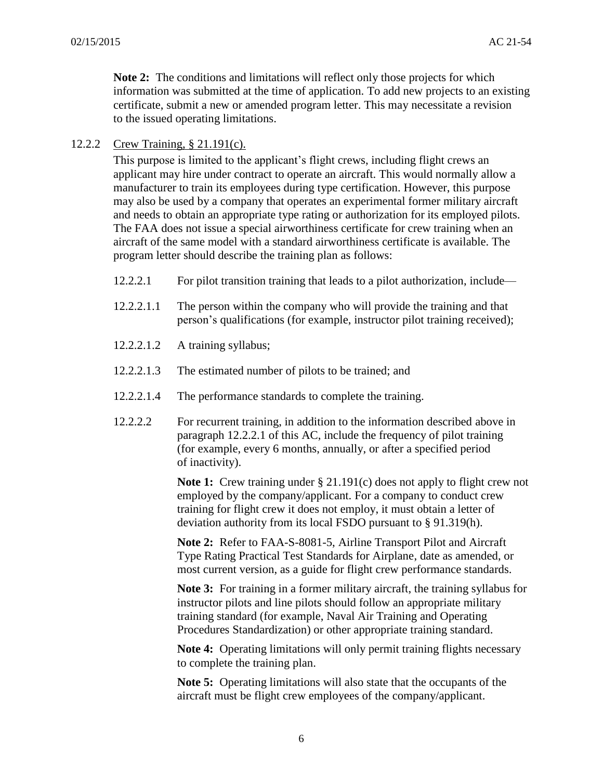certificate, submit a new or amended program letter. This may necessitate a revision **Note 2:** The conditions and limitations will reflect only those projects for which information was submitted at the time of application. To add new projects to an existing to the issued operating limitations.

12.2.2 Crew Training, § 21.191(c).

 This purpose is limited to the applicant's flight crews, including flight crews an applicant may hire under contract to operate an aircraft. This would normally allow a may also be used by a company that operates an experimental former military aircraft program letter should describe the training plan as follows: manufacturer to train its employees during type certification. However, this purpose and needs to obtain an appropriate type rating or authorization for its employed pilots. The FAA does not issue a special airworthiness certificate for crew training when an aircraft of the same model with a standard airworthiness certificate is available. The

- 12.2.2.1 For pilot transition training that leads to a pilot authorization, include—
- 12.2.2.1.1 The person within the company who will provide the training and that person's qualifications (for example, instructor pilot training received);
- 12.2.2.1.2 A training syllabus;
- 12.2.2.1.3 The estimated number of pilots to be trained; and
- 12.2.2.1.4 The performance standards to complete the training.
- of inactivity). 12.2.2.2 For recurrent training, in addition to the information described above in paragraph 12.2.2.1 of this AC, include the frequency of pilot training (for example, every 6 months, annually, or after a specified period

**Note 1:** Crew training under § 21.191(c) does not apply to flight crew not employed by the company/applicant. For a company to conduct crew deviation authority from its local FSDO pursuant to § 91.319(h). training for flight crew it does not employ, it must obtain a letter of

**Note 2:** Refer to FAA-S-8081-5, Airline Transport Pilot and Aircraft Type Rating Practical Test Standards for Airplane, date as amended, or most current version, as a guide for flight crew performance standards.

 Procedures Standardization) or other appropriate training standard. **Note 3:** For training in a former military aircraft, the training syllabus for instructor pilots and line pilots should follow an appropriate military training standard (for example, Naval Air Training and Operating

 **Note 4:** Operating limitations will only permit training flights necessary to complete the training plan.

 aircraft must be flight crew employees of the company/applicant. **Note 5:** Operating limitations will also state that the occupants of the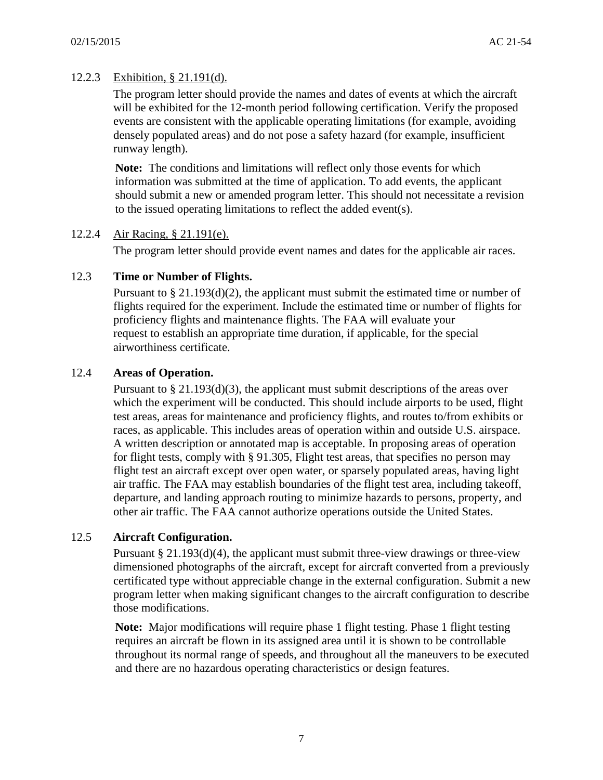# 12.2.3 Exhibition, § 21.191(d).

 densely populated areas) and do not pose a safety hazard (for example, insufficient runway length). The program letter should provide the names and dates of events at which the aircraft will be exhibited for the 12-month period following certification. Verify the proposed events are consistent with the applicable operating limitations (for example, avoiding

**Note:** The conditions and limitations will reflect only those events for which information was submitted at the time of application. To add events, the applicant should submit a new or amended program letter. This should not necessitate a revision to the issued operating limitations to reflect the added event(s).

#### 12.2.4 Air Racing, § 21.191(e).

The program letter should provide event names and dates for the applicable air races.

### 12.3 **Time or Number of Flights.**

 Pursuant to § 21.193(d)(2), the applicant must submit the estimated time or number of request to establish an appropriate time duration, if applicable, for the special airworthiness certificate. flights required for the experiment. Include the estimated time or number of flights for proficiency flights and maintenance flights. The FAA will evaluate your

### 12.4 **Areas of Operation.**

 Pursuant to § 21.193(d)(3), the applicant must submit descriptions of the areas over air traffic. The FAA may establish boundaries of the flight test area, including takeoff, other air traffic. The FAA cannot authorize operations outside the United States. which the experiment will be conducted. This should include airports to be used, flight test areas, areas for maintenance and proficiency flights, and routes to/from exhibits or races, as applicable. This includes areas of operation within and outside U.S. airspace. A written description or annotated map is acceptable. In proposing areas of operation for flight tests, comply with § 91.305, Flight test areas, that specifies no person may flight test an aircraft except over open water, or sparsely populated areas, having light departure, and landing approach routing to minimize hazards to persons, property, and

# 12.5 **Aircraft Configuration.**

 Pursuant § 21.193(d)(4), the applicant must submit three-view drawings or three-view certificated type without appreciable change in the external configuration. Submit a new program letter when making significant changes to the aircraft configuration to describe dimensioned photographs of the aircraft, except for aircraft converted from a previously those modifications.

 and there are no hazardous operating characteristics or design features. **Note:** Major modifications will require phase 1 flight testing. Phase 1 flight testing requires an aircraft be flown in its assigned area until it is shown to be controllable throughout its normal range of speeds, and throughout all the maneuvers to be executed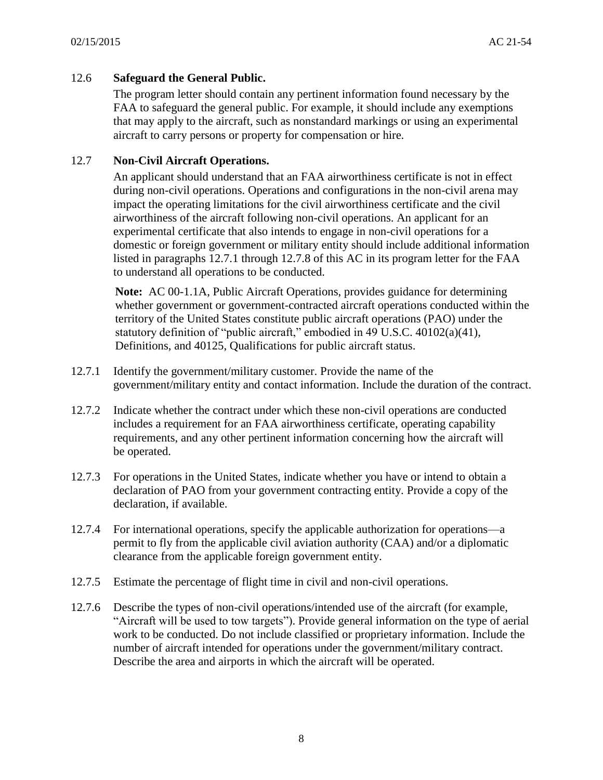#### 12.6 **Safeguard the General Public.**

 that may apply to the aircraft, such as nonstandard markings or using an experimental The program letter should contain any pertinent information found necessary by the FAA to safeguard the general public. For example, it should include any exemptions aircraft to carry persons or property for compensation or hire.

#### 12.7 **Non-Civil Aircraft Operations.**

 An applicant should understand that an FAA airworthiness certificate is not in effect airworthiness of the aircraft following non-civil operations. An applicant for an experimental certificate that also intends to engage in non-civil operations for a domestic or foreign government or military entity should include additional information listed in paragraphs 12.7.1 through 12.7.8 of this AC in its program letter for the FAA during non-civil operations. Operations and configurations in the non-civil arena may impact the operating limitations for the civil airworthiness certificate and the civil to understand all operations to be conducted.

 statutory definition of "public aircraft," embodied in 49 U.S.C. 40102(a)(41), Definitions, and 40125, Qualifications for public aircraft status. **Note:** AC 00-1.1A, Public Aircraft Operations, provides guidance for determining whether government or government-contracted aircraft operations conducted within the territory of the United States constitute public aircraft operations (PAO) under the

- government/military entity and contact information. Include the duration of the contract. 12.7.1 Identify the government/military customer. Provide the name of the
- be operated. 12.7.2 Indicate whether the contract under which these non-civil operations are conducted includes a requirement for an FAA airworthiness certificate, operating capability requirements, and any other pertinent information concerning how the aircraft will
- 12.7.3 For operations in the United States, indicate whether you have or intend to obtain a declaration of PAO from your government contracting entity. Provide a copy of the declaration, if available.
- permit to fly from the applicable civil aviation authority (CAA) and/or a diplomatic 12.7.4 For international operations, specify the applicable authorization for operations—a clearance from the applicable foreign government entity.
- 12.7.5 Estimate the percentage of flight time in civil and non-civil operations.
- 12.7.6 Describe the types of non-civil operations/intended use of the aircraft (for example, "Aircraft will be used to tow targets"). Provide general information on the type of aerial number of aircraft intended for operations under the government/military contract. work to be conducted. Do not include classified or proprietary information. Include the Describe the area and airports in which the aircraft will be operated.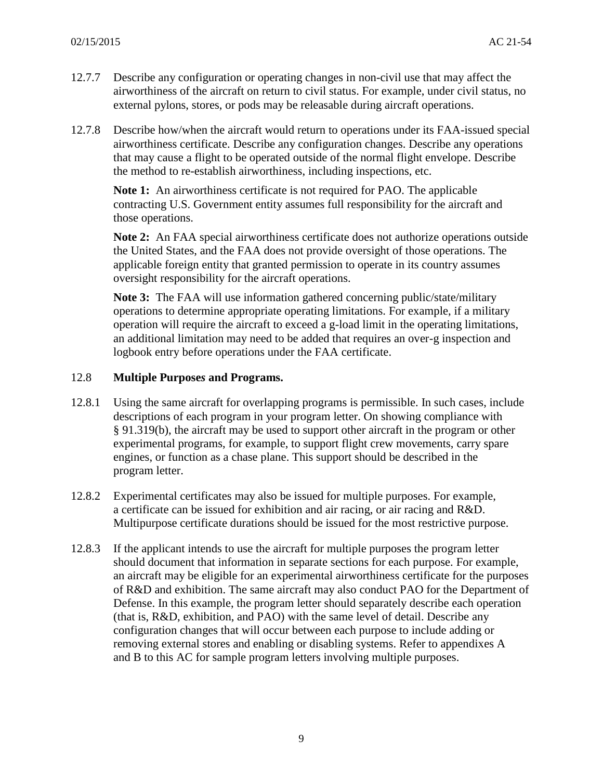- 12.7.7 Describe any configuration or operating changes in non-civil use that may affect the airworthiness of the aircraft on return to civil status. For example, under civil status, no external pylons, stores, or pods may be releasable during aircraft operations.
- airworthiness certificate. Describe any configuration changes. Describe any operations that may cause a flight to be operated outside of the normal flight envelope. Describe 12.7.8 Describe how/when the aircraft would return to operations under its FAA-issued special the method to re-establish airworthiness, including inspections, etc.

 **Note 1:** An airworthiness certificate is not required for PAO. The applicable those operations. contracting U.S. Government entity assumes full responsibility for the aircraft and

**Note 2:** An FAA special airworthiness certificate does not authorize operations outside the United States, and the FAA does not provide oversight of those operations. The applicable foreign entity that granted permission to operate in its country assumes oversight responsibility for the aircraft operations.

 logbook entry before operations under the FAA certificate. **Note 3:** The FAA will use information gathered concerning public/state/military operations to determine appropriate operating limitations. For example, if a military operation will require the aircraft to exceed a g-load limit in the operating limitations, an additional limitation may need to be added that requires an over-g inspection and

#### 12.8 **Multiple Purpose***s* **and Programs.**

- experimental programs, for example, to support flight crew movements, carry spare engines, or function as a chase plane. This support should be described in the program letter. 12.8.1 Using the same aircraft for overlapping programs is permissible. In such cases, include descriptions of each program in your program letter. On showing compliance with § 91.319(b), the aircraft may be used to support other aircraft in the program or other
- a certificate can be issued for exhibition and air racing, or air racing and R&D. 12.8.2 Experimental certificates may also be issued for multiple purposes. For example, Multipurpose certificate durations should be issued for the most restrictive purpose.
- should document that information in separate sections for each purpose. For example, Defense. In this example, the program letter should separately describe each operation (that is, R&D, exhibition, and PAO) with the same level of detail. Describe any removing external stores and enabling or disabling systems. Refer to appendixes A and B to this AC for sample program letters involving multiple purposes. 12.8.3 If the applicant intends to use the aircraft for multiple purposes the program letter an aircraft may be eligible for an experimental airworthiness certificate for the purposes of R&D and exhibition. The same aircraft may also conduct PAO for the Department of configuration changes that will occur between each purpose to include adding or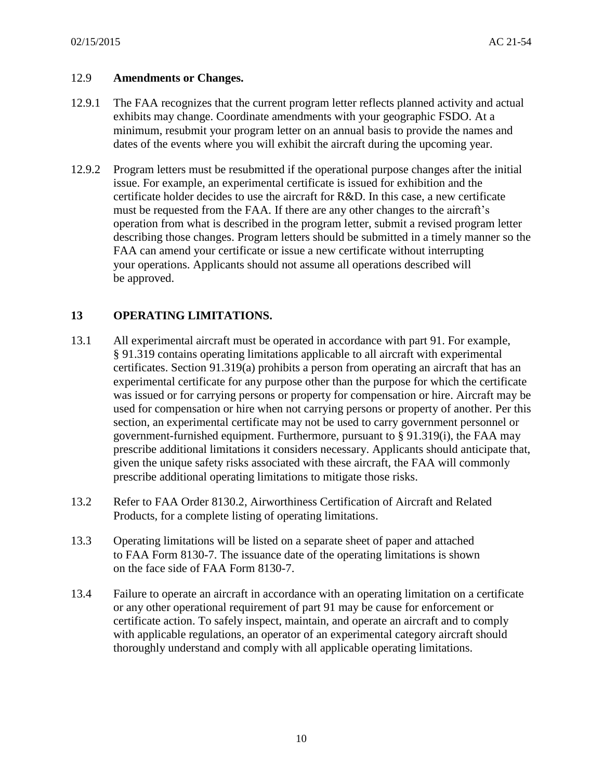#### 12.9 **Amendments or Changes.**

- exhibits may change. Coordinate amendments with your geographic FSDO. At a dates of the events where you will exhibit the aircraft during the upcoming year. 12.9.1 The FAA recognizes that the current program letter reflects planned activity and actual minimum, resubmit your program letter on an annual basis to provide the names and
- describing those changes. Program letters should be submitted in a timely manner so the FAA can amend your certificate or issue a new certificate without interrupting be approved. 12.9.2 Program letters must be resubmitted if the operational purpose changes after the initial issue. For example, an experimental certificate is issued for exhibition and the certificate holder decides to use the aircraft for R&D. In this case, a new certificate must be requested from the FAA. If there are any other changes to the aircraft's operation from what is described in the program letter, submit a revised program letter your operations. Applicants should not assume all operations described will

# **13 OPERATING LIMITATIONS.**

- 13.1 All experimental aircraft must be operated in accordance with part 91. For example, § 91.319 contains operating limitations applicable to all aircraft with experimental experimental certificate for any purpose other than the purpose for which the certificate government-furnished equipment. Furthermore, pursuant to § 91.319(i), the FAA may prescribe additional operating limitations to mitigate those risks. certificates. Section 91.319(a) prohibits a person from operating an aircraft that has an was issued or for carrying persons or property for compensation or hire. Aircraft may be used for compensation or hire when not carrying persons or property of another. Per this section, an experimental certificate may not be used to carry government personnel or prescribe additional limitations it considers necessary. Applicants should anticipate that, given the unique safety risks associated with these aircraft, the FAA will commonly
- 13.2 Refer to FAA Order 8130.2, Airworthiness Certification of Aircraft and Related Products, for a complete listing of operating limitations.
- to FAA Form 8130-7. The issuance date of the operating limitations is shown on the face side of FAA Form 8130-7. 13.3 Operating limitations will be listed on a separate sheet of paper and attached
- 13.4 Failure to operate an aircraft in accordance with an operating limitation on a certificate or any other operational requirement of part 91 may be cause for enforcement or thoroughly understand and comply with all applicable operating limitations. certificate action. To safely inspect, maintain, and operate an aircraft and to comply with applicable regulations, an operator of an experimental category aircraft should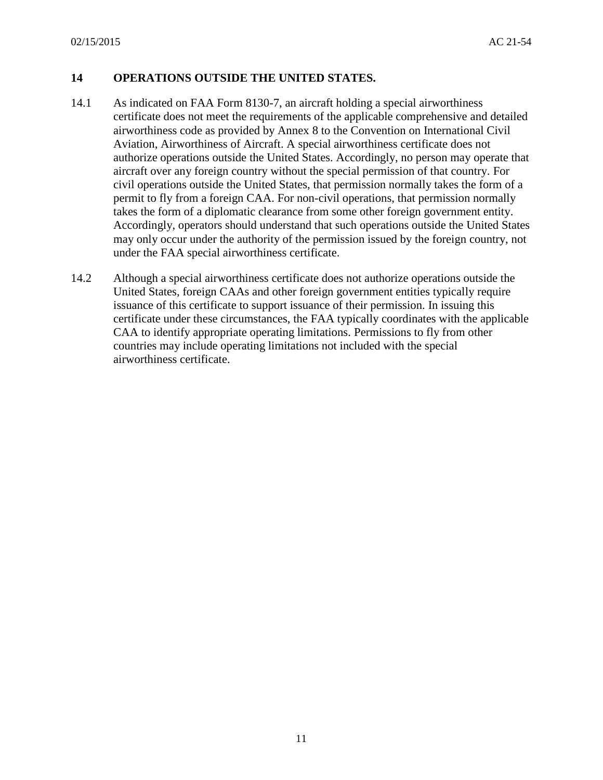# **14 OPERATIONS OUTSIDE THE UNITED STATES.**

- authorize operations outside the United States. Accordingly, no person may operate that aircraft over any foreign country without the special permission of that country. For civil operations outside the United States, that permission normally takes the form of a may only occur under the authority of the permission issued by the foreign country, not under the FAA special airworthiness certificate. 14.1 As indicated on FAA Form 8130-7, an aircraft holding a special airworthiness certificate does not meet the requirements of the applicable comprehensive and detailed airworthiness code as provided by Annex 8 to the Convention on International Civil Aviation, Airworthiness of Aircraft. A special airworthiness certificate does not permit to fly from a foreign CAA. For non-civil operations, that permission normally takes the form of a diplomatic clearance from some other foreign government entity. Accordingly, operators should understand that such operations outside the United States
- United States, foreign CAAs and other foreign government entities typically require issuance of this certificate to support issuance of their permission. In issuing this airworthiness certificate. 14.2 Although a special airworthiness certificate does not authorize operations outside the certificate under these circumstances, the FAA typically coordinates with the applicable CAA to identify appropriate operating limitations. Permissions to fly from other countries may include operating limitations not included with the special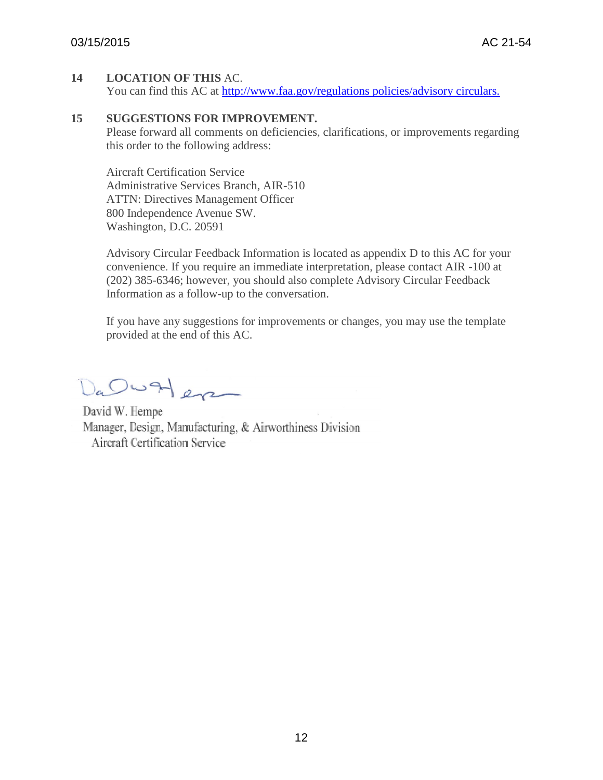## **14 LOCATION OF THIS** AC.

You can find this AC at [http://www.faa.gov/regulations policies/advisory circulars.](http://www.faa.gov/regulations%20policies/advisory%20circulars.)

#### **15 SUGGESTIONS FOR IMPROVEMENT.**

Please forward all comments on deficiencies, clarifications, or improvements regarding this order to the following address:

Aircraft Certification Service Administrative Services Branch, AIR-510 ATTN: Directives Management Officer 800 Independence Avenue SW. Washington, D.C. 20591

Advisory Circular Feedback Information is located as appendix D to this AC for your convenience. If you require an immediate interpretation, please contact AIR -100 at (202) 385-6346; however, you should also complete Advisory Circular Feedback Information as a follow-up to the conversation.

If you have any suggestions for improvements or changes, you may use the template provided at the end of this AC.

Da Ow Here

David W. Hempe Manager, Design, Manufacturing, & Airworthiness Division Aircraft Certification Service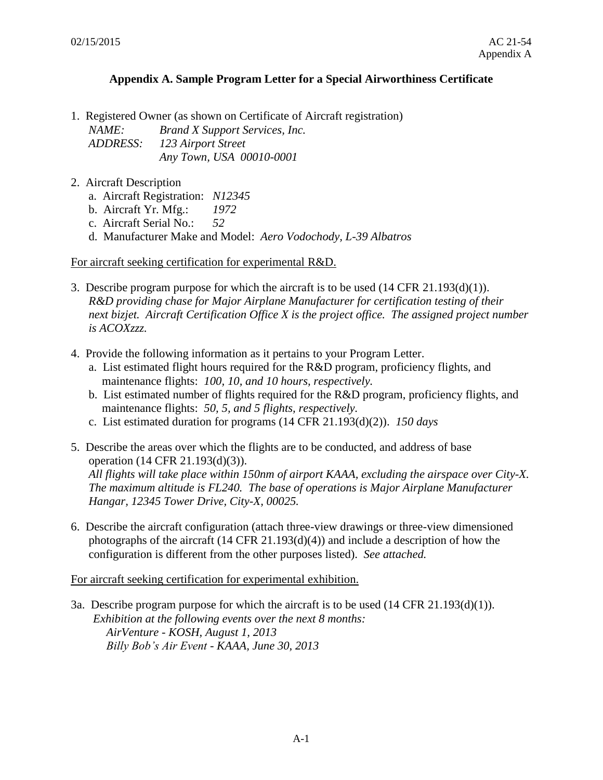#### **Appendix A. Sample Program Letter for a Special Airworthiness Certificate**

1. Registered Owner (as shown on Certificate of Aircraft registration)

*NAME: Brand X Support Services, Inc. ADDRESS: 123 Airport Street Any Town, USA 00010-0001* 

- 2. Aircraft Description
	- a. Aircraft Registration: *N12345*
	- b. Aircraft Yr. Mfg.: *1972*
	- c. Aircraft Serial No.: *52*
	- d. Manufacturer Make and Model: *Aero Vodochody, L-39 Albatros*

For aircraft seeking certification for experimental R&D.

- 3. Describe program purpose for which the aircraft is to be used (14 CFR 21.193(d)(1)). *R&D providing chase for Major Airplane Manufacturer for certification testing of their next bizjet. Aircraft Certification Office X is the project office. The assigned project number is ACOXzzz.*
- 4. Provide the following information as it pertains to your Program Letter.
	- a. List estimated flight hours required for the  $R&D$  program, proficiency flights, and maintenance flights: *100, 10, and 10 hours, respectively.*
	- b. List estimated number of flights required for the R&D program, proficiency flights, and maintenance flights: *50, 5, and 5 flights, respectively.*
	- c. List estimated duration for programs (14 CFR 21.193(d)(2)). *150 days*
- 5. Describe the areas over which the flights are to be conducted, and address of base operation (14 CFR 21.193(d)(3)). *All flights will take place within 150nm of airport KAAA, excluding the airspace over City-X. The maximum altitude is FL240. The base of operations is Major Airplane Manufacturer Hangar, 12345 Tower Drive, City-X, 00025.*
- 6. Describe the aircraft configuration (attach three-view drawings or three-view dimensioned photographs of the aircraft  $(14 \text{ CFR } 21.193(d)(4))$  and include a description of how the configuration is different from the other purposes listed). *See attached.*

For aircraft seeking certification for experimental exhibition.

 3a. Describe program purpose for which the aircraft is to be used (14 CFR 21.193(d)(1)). *Exhibition at the following events over the next 8 months: AirVenture - KOSH, August 1, 2013 Billy Bob's Air Event - KAAA, June 30, 2013*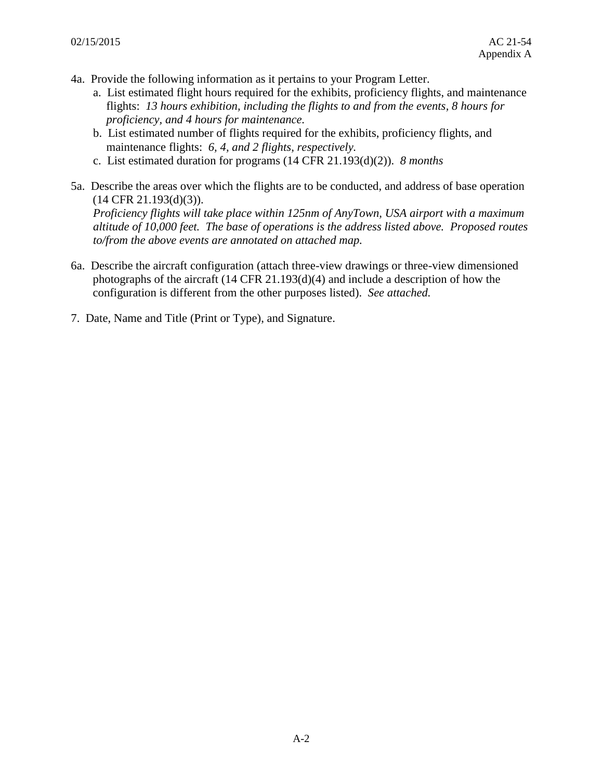- 4a. Provide the following information as it pertains to your Program Letter.
	- a. List estimated flight hours required for the exhibits, proficiency flights, and maintenance flights: *13 hours exhibition, including the flights to and from the events, 8 hours for proficiency, and 4 hours for maintenance.*
	- b. List estimated number of flights required for the exhibits, proficiency flights, and maintenance flights: *6, 4, and 2 flights, respectively.*
	- c. List estimated duration for programs (14 CFR 21.193(d)(2)). *8 months*
- 5a. Describe the areas over which the flights are to be conducted, and address of base operation (14 CFR 21.193(d)(3)).

*Proficiency flights will take place within 125nm of AnyTown, USA airport with a maximum altitude of 10,000 feet. The base of operations is the address listed above. Proposed routes to/from the above events are annotated on attached map.* 

- 6a. Describe the aircraft configuration (attach three-view drawings or three-view dimensioned photographs of the aircraft (14 CFR 21.193(d)(4) and include a description of how the configuration is different from the other purposes listed). *See attached.*
- 7. Date, Name and Title (Print or Type), and Signature.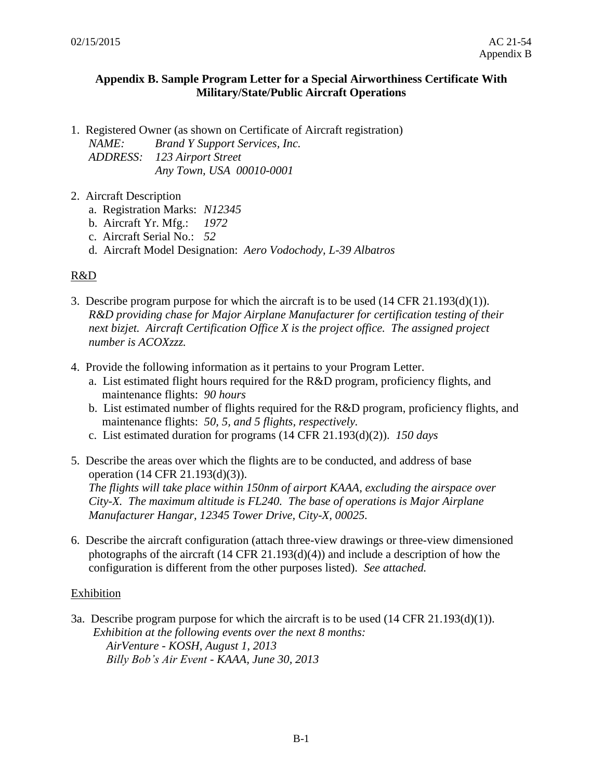#### **Appendix B. Sample Program Letter for a Special Airworthiness Certificate With Military/State/Public Aircraft Operations**

1. Registered Owner (as shown on Certificate of Aircraft registration) *NAME: Brand Y Support Services, Inc.* 

*ADDRESS: 123 Airport Street Any Town, USA 00010-0001* 

- 2. Aircraft Description
	- a. Registration Marks: *N12345*
	- b. Aircraft Yr. Mfg.: *1972*
	- c. Aircraft Serial No.: *52*
	- d. Aircraft Model Designation: *Aero Vodochody, L-39 Albatros*

# R&D

- *number is ACOXzzz.*  3. Describe program purpose for which the aircraft is to be used (14 CFR 21.193(d)(1)). *R&D providing chase for Major Airplane Manufacturer for certification testing of their next bizjet. Aircraft Certification Office X is the project office. The assigned project*
- 4. Provide the following information as it pertains to your Program Letter.
	- a. List estimated flight hours required for the R&D program, proficiency flights, and maintenance flights: *90 hours*
	- b. List estimated number of flights required for the R&D program, proficiency flights, and maintenance flights: *50, 5, and 5 flights, respectively.*
	- c. List estimated duration for programs (14 CFR 21.193(d)(2)). *150 days*
- 5. Describe the areas over which the flights are to be conducted, and address of base operation (14 CFR 21.193(d)(3)). *The flights will take place within 150nm of airport KAAA, excluding the airspace over City-X. The maximum altitude is FL240. The base of operations is Major Airplane Manufacturer Hangar, 12345 Tower Drive, City-X, 00025.*
- 6. Describe the aircraft configuration (attach three-view drawings or three-view dimensioned photographs of the aircraft  $(14 \text{ CFR } 21.193(d)(4))$  and include a description of how the configuration is different from the other purposes listed). *See attached.*

# Exhibition

3a. Describe program purpose for which the aircraft is to be used (14 CFR 21.193(d)(1)). *Exhibition at the following events over the next 8 months: AirVenture - KOSH, August 1, 2013 Billy Bob's Air Event - KAAA, June 30, 2013*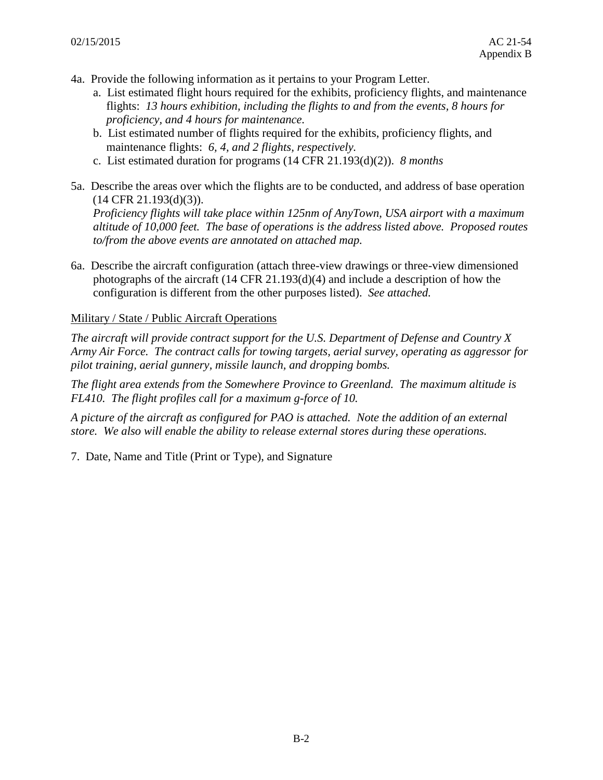- 4a. Provide the following information as it pertains to your Program Letter.
	- a. List estimated flight hours required for the exhibits, proficiency flights, and maintenance flights: *13 hours exhibition, including the flights to and from the events, 8 hours for proficiency, and 4 hours for maintenance.*
	- b. List estimated number of flights required for the exhibits, proficiency flights, and maintenance flights: *6, 4, and 2 flights, respectively.*
	- c. List estimated duration for programs (14 CFR 21.193(d)(2)). *8 months*
- 5a. Describe the areas over which the flights are to be conducted, and address of base operation (14 CFR 21.193(d)(3)).

*Proficiency flights will take place within 125nm of AnyTown, USA airport with a maximum altitude of 10,000 feet. The base of operations is the address listed above. Proposed routes to/from the above events are annotated on attached map.* 

6a. Describe the aircraft configuration (attach three-view drawings or three-view dimensioned photographs of the aircraft (14 CFR 21.193(d)(4) and include a description of how the configuration is different from the other purposes listed). *See attached.* 

Military / State / Public Aircraft Operations

 *Army Air Force. The contract calls for towing targets, aerial survey, operating as aggressor for The aircraft will provide contract support for the U.S. Department of Defense and Country X pilot training, aerial gunnery, missile launch, and dropping bombs.* 

*The flight area extends from the Somewhere Province to Greenland. The maximum altitude is FL410. The flight profiles call for a maximum g-force of 10.* 

*A picture of the aircraft as configured for PAO is attached. Note the addition of an external store. We also will enable the ability to release external stores during these operations.* 

7. Date, Name and Title (Print or Type), and Signature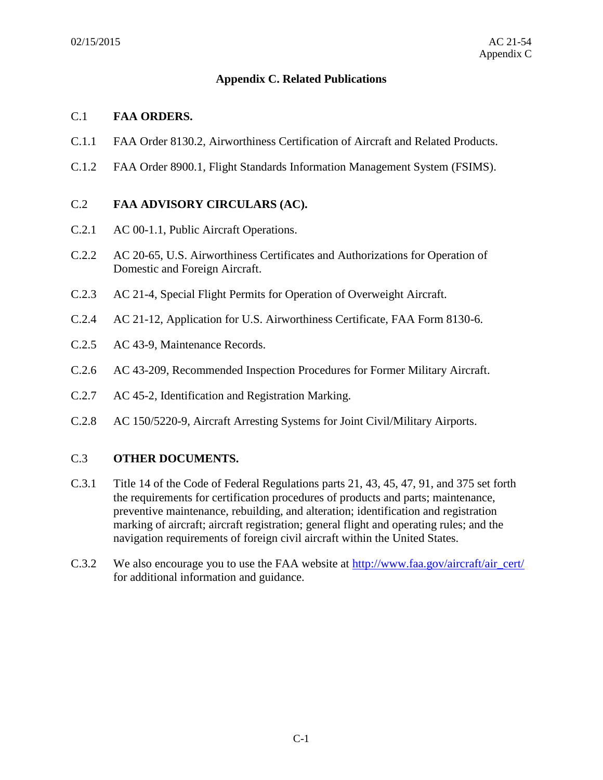# **Appendix C. Related Publications**

## C.1 **FAA ORDERS.**

- C.1.1 FAA Order 8130.2, Airworthiness Certification of Aircraft and Related Products.
- C.1.2 FAA Order 8900.1, Flight Standards Information Management System (FSIMS).

# C.2 **FAA ADVISORY CIRCULARS (AC).**

- C.2.1 AC 00-1.1, Public Aircraft Operations.
- C.2.2 AC 20-65, U.S. Airworthiness Certificates and Authorizations for Operation of Domestic and Foreign Aircraft.
- C.2.3 AC 21-4, Special Flight Permits for Operation of Overweight Aircraft.
- C.2.4 AC 21-12, Application for U.S. Airworthiness Certificate, FAA Form 8130-6.
- C.2.5 AC 43-9, Maintenance Records.
- C.2.6 AC 43-209, Recommended Inspection Procedures for Former Military Aircraft.
- C.2.7 AC 45-2, Identification and Registration Marking.
- C.2.8 AC 150/5220-9, Aircraft Arresting Systems for Joint Civil/Military Airports.

# C.3 **OTHER DOCUMENTS.**

- navigation requirements of foreign civil aircraft within the United States. C.3.1 Title 14 of the Code of Federal Regulations parts 21, 43, 45, 47, 91, and 375 set forth the requirements for certification procedures of products and parts; maintenance, preventive maintenance, rebuilding, and alteration; identification and registration marking of aircraft; aircraft registration; general flight and operating rules; and the
- C.3.2 We also encourage you to use the FAA website at [http://www.faa.gov/aircraft/air\\_cert/](http://www.faa.gov/aircraft/air_cert/) for additional information and guidance.